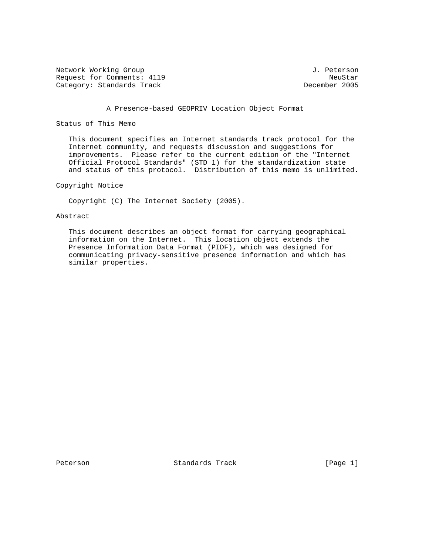Network Working Group 3. 2012 1. Peterson Request for Comments: 4119<br>
Category: Standards Track and South and South the December 2005 Category: Standards Track

## A Presence-based GEOPRIV Location Object Format

Status of This Memo

 This document specifies an Internet standards track protocol for the Internet community, and requests discussion and suggestions for improvements. Please refer to the current edition of the "Internet Official Protocol Standards" (STD 1) for the standardization state and status of this protocol. Distribution of this memo is unlimited.

Copyright Notice

Copyright (C) The Internet Society (2005).

Abstract

 This document describes an object format for carrying geographical information on the Internet. This location object extends the Presence Information Data Format (PIDF), which was designed for communicating privacy-sensitive presence information and which has similar properties.

Peterson Standards Track [Page 1]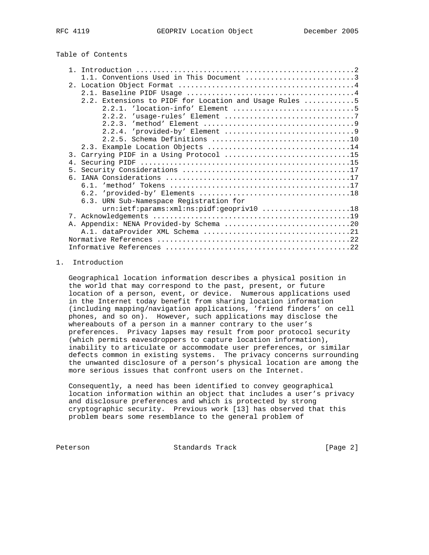# Table of Contents

|                | 1.1. Conventions Used in This Document 3               |
|----------------|--------------------------------------------------------|
|                |                                                        |
|                |                                                        |
|                | 2.2. Extensions to PIDF for Location and Usage Rules 5 |
|                |                                                        |
|                |                                                        |
|                |                                                        |
|                |                                                        |
|                |                                                        |
|                |                                                        |
|                | 3. Carrying PIDF in a Using Protocol 15                |
| 4.             |                                                        |
| 5 <sub>1</sub> |                                                        |
|                |                                                        |
|                |                                                        |
|                |                                                        |
|                | 6.3. URN Sub-Namespace Registration for                |
|                | urn:ietf:params:xml:ns:pidf:geopriv10 18               |
|                |                                                        |
|                | A. Appendix: NENA Provided-by Schema 20                |
|                |                                                        |
|                |                                                        |
|                |                                                        |

## 1. Introduction

 Geographical location information describes a physical position in the world that may correspond to the past, present, or future location of a person, event, or device. Numerous applications used in the Internet today benefit from sharing location information (including mapping/navigation applications, 'friend finders' on cell phones, and so on). However, such applications may disclose the whereabouts of a person in a manner contrary to the user's preferences. Privacy lapses may result from poor protocol security (which permits eavesdroppers to capture location information), inability to articulate or accommodate user preferences, or similar defects common in existing systems. The privacy concerns surrounding the unwanted disclosure of a person's physical location are among the more serious issues that confront users on the Internet.

 Consequently, a need has been identified to convey geographical location information within an object that includes a user's privacy and disclosure preferences and which is protected by strong cryptographic security. Previous work [13] has observed that this problem bears some resemblance to the general problem of

Peterson Standards Track [Page 2]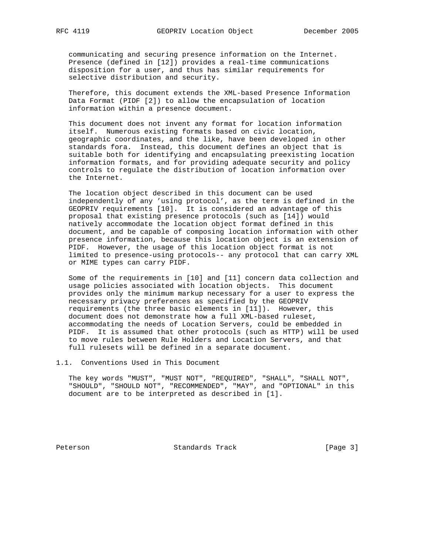communicating and securing presence information on the Internet. Presence (defined in [12]) provides a real-time communications disposition for a user, and thus has similar requirements for selective distribution and security.

 Therefore, this document extends the XML-based Presence Information Data Format (PIDF [2]) to allow the encapsulation of location information within a presence document.

 This document does not invent any format for location information itself. Numerous existing formats based on civic location, geographic coordinates, and the like, have been developed in other standards fora. Instead, this document defines an object that is suitable both for identifying and encapsulating preexisting location information formats, and for providing adequate security and policy controls to regulate the distribution of location information over the Internet.

 The location object described in this document can be used independently of any 'using protocol', as the term is defined in the GEOPRIV requirements [10]. It is considered an advantage of this proposal that existing presence protocols (such as [14]) would natively accommodate the location object format defined in this document, and be capable of composing location information with other presence information, because this location object is an extension of PIDF. However, the usage of this location object format is not limited to presence-using protocols-- any protocol that can carry XML or MIME types can carry PIDF.

 Some of the requirements in [10] and [11] concern data collection and usage policies associated with location objects. This document provides only the minimum markup necessary for a user to express the necessary privacy preferences as specified by the GEOPRIV requirements (the three basic elements in [11]). However, this document does not demonstrate how a full XML-based ruleset, accommodating the needs of Location Servers, could be embedded in PIDF. It is assumed that other protocols (such as HTTP) will be used to move rules between Rule Holders and Location Servers, and that full rulesets will be defined in a separate document.

1.1. Conventions Used in This Document

 The key words "MUST", "MUST NOT", "REQUIRED", "SHALL", "SHALL NOT", "SHOULD", "SHOULD NOT", "RECOMMENDED", "MAY", and "OPTIONAL" in this document are to be interpreted as described in [1].

Peterson Standards Track [Page 3]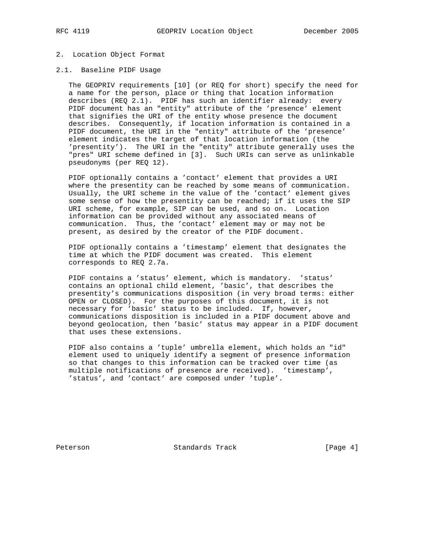## 2. Location Object Format

## 2.1. Baseline PIDF Usage

 The GEOPRIV requirements [10] (or REQ for short) specify the need for a name for the person, place or thing that location information describes (REQ 2.1). PIDF has such an identifier already: every PIDF document has an "entity" attribute of the 'presence' element that signifies the URI of the entity whose presence the document describes. Consequently, if location information is contained in a PIDF document, the URI in the "entity" attribute of the 'presence' element indicates the target of that location information (the 'presentity'). The URI in the "entity" attribute generally uses the "pres" URI scheme defined in [3]. Such URIs can serve as unlinkable pseudonyms (per REQ 12).

 PIDF optionally contains a 'contact' element that provides a URI where the presentity can be reached by some means of communication. Usually, the URI scheme in the value of the 'contact' element gives some sense of how the presentity can be reached; if it uses the SIP URI scheme, for example, SIP can be used, and so on. Location information can be provided without any associated means of communication. Thus, the 'contact' element may or may not be present, as desired by the creator of the PIDF document.

 PIDF optionally contains a 'timestamp' element that designates the time at which the PIDF document was created. This element corresponds to REQ 2.7a.

 PIDF contains a 'status' element, which is mandatory. 'status' contains an optional child element, 'basic', that describes the presentity's communications disposition (in very broad terms: either OPEN or CLOSED). For the purposes of this document, it is not necessary for 'basic' status to be included. If, however, communications disposition is included in a PIDF document above and beyond geolocation, then 'basic' status may appear in a PIDF document that uses these extensions.

 PIDF also contains a 'tuple' umbrella element, which holds an "id" element used to uniquely identify a segment of presence information so that changes to this information can be tracked over time (as multiple notifications of presence are received). 'timestamp', 'status', and 'contact' are composed under 'tuple'.

Peterson Standards Track [Page 4]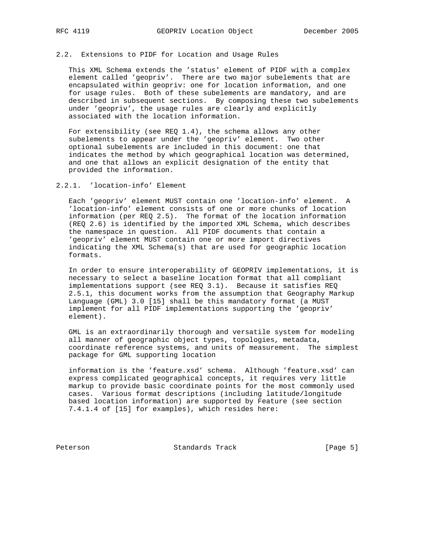## 2.2. Extensions to PIDF for Location and Usage Rules

 This XML Schema extends the 'status' element of PIDF with a complex element called 'geopriv'. There are two major subelements that are encapsulated within geopriv: one for location information, and one for usage rules. Both of these subelements are mandatory, and are described in subsequent sections. By composing these two subelements under 'geopriv', the usage rules are clearly and explicitly associated with the location information.

 For extensibility (see REQ 1.4), the schema allows any other subelements to appear under the 'geopriv' element. Two other optional subelements are included in this document: one that indicates the method by which geographical location was determined, and one that allows an explicit designation of the entity that provided the information.

2.2.1. 'location-info' Element

 Each 'geopriv' element MUST contain one 'location-info' element. A 'location-info' element consists of one or more chunks of location information (per REQ 2.5). The format of the location information (REQ 2.6) is identified by the imported XML Schema, which describes the namespace in question. All PIDF documents that contain a 'geopriv' element MUST contain one or more import directives indicating the XML Schema(s) that are used for geographic location formats.

 In order to ensure interoperability of GEOPRIV implementations, it is necessary to select a baseline location format that all compliant implementations support (see REQ 3.1). Because it satisfies REQ 2.5.1, this document works from the assumption that Geography Markup Language (GML) 3.0 [15] shall be this mandatory format (a MUST implement for all PIDF implementations supporting the 'geopriv' element).

 GML is an extraordinarily thorough and versatile system for modeling all manner of geographic object types, topologies, metadata, coordinate reference systems, and units of measurement. The simplest package for GML supporting location

 information is the 'feature.xsd' schema. Although 'feature.xsd' can express complicated geographical concepts, it requires very little markup to provide basic coordinate points for the most commonly used cases. Various format descriptions (including latitude/longitude based location information) are supported by Feature (see section 7.4.1.4 of [15] for examples), which resides here:

Peterson Standards Track [Page 5]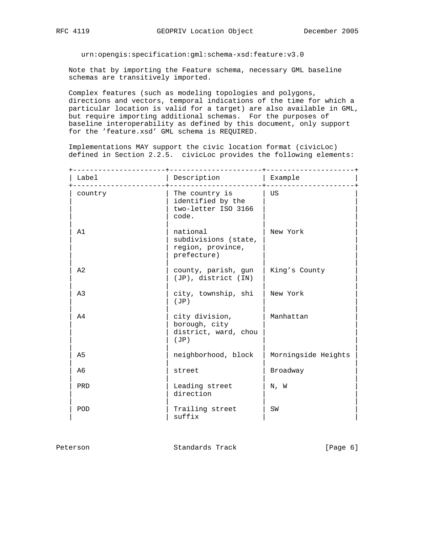urn:opengis:specification:gml:schema-xsd:feature:v3.0

 Note that by importing the Feature schema, necessary GML baseline schemas are transitively imported.

 Complex features (such as modeling topologies and polygons, directions and vectors, temporal indications of the time for which a particular location is valid for a target) are also available in GML, but require importing additional schemas. For the purposes of baseline interoperability as defined by this document, only support for the 'feature.xsd' GML schema is REQUIRED.

 Implementations MAY support the civic location format (civicLoc) defined in Section 2.2.5. civicLoc provides the following elements:

| Label          | Description                                                          | Example             |
|----------------|----------------------------------------------------------------------|---------------------|
| country        | The country is<br>identified by the<br>two-letter ISO 3166<br>code.  | US                  |
| A1             | national<br>subdivisions (state,<br>region, province,<br>prefecture) | New York            |
| A <sub>2</sub> | county, parish, gun<br>(JP), district (IN)                           | King's County       |
| A <sub>3</sub> | city, township, shi<br>(JP)                                          | New York            |
| A4             | city division,<br>borough, city<br>district, ward, chou<br>(JP)      | Manhattan           |
| A5             | neighborhood, block                                                  | Morningside Heights |
| A6             | street                                                               | Broadway            |
| PRD            | Leading street<br>direction                                          | N, W                |
| POD            | Trailing street<br>suffix                                            | SW                  |

| Peterson | Standards Track | [Page 6] |  |
|----------|-----------------|----------|--|
|          |                 |          |  |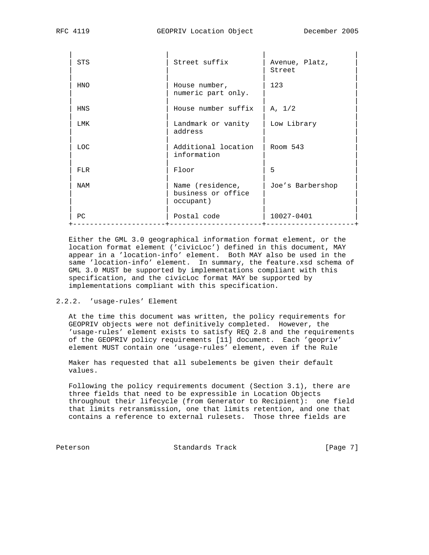| <b>STS</b> | Street suffix                                       | Avenue, Platz,<br>Street |
|------------|-----------------------------------------------------|--------------------------|
| <b>HNO</b> | House number,<br>numeric part only.                 | 123                      |
| HNS        | House number suffix                                 | A, 1/2                   |
| LMK        | Landmark or vanity<br>address                       | Low Library              |
| <b>LOC</b> | Additional location<br>information                  | Room 543                 |
| FT R       | Floor                                               | 5                        |
| NAM        | Name (residence,<br>business or office<br>occupant) | Joe's Barbershop         |
| PC         | Postal code                                         | 10027-0401               |

 Either the GML 3.0 geographical information format element, or the location format element ('civicLoc') defined in this document, MAY appear in a 'location-info' element. Both MAY also be used in the same 'location-info' element. In summary, the feature.xsd schema of GML 3.0 MUST be supported by implementations compliant with this specification, and the civicLoc format MAY be supported by implementations compliant with this specification.

## 2.2.2. 'usage-rules' Element

 At the time this document was written, the policy requirements for GEOPRIV objects were not definitively completed. However, the 'usage-rules' element exists to satisfy REQ 2.8 and the requirements of the GEOPRIV policy requirements [11] document. Each 'geopriv' element MUST contain one 'usage-rules' element, even if the Rule

 Maker has requested that all subelements be given their default values.

 Following the policy requirements document (Section 3.1), there are three fields that need to be expressible in Location Objects throughout their lifecycle (from Generator to Recipient): one field that limits retransmission, one that limits retention, and one that contains a reference to external rulesets. Those three fields are

Peterson Standards Track [Page 7]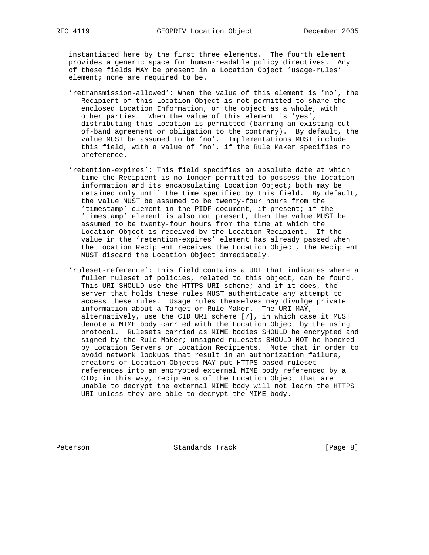instantiated here by the first three elements. The fourth element provides a generic space for human-readable policy directives. Any of these fields MAY be present in a Location Object 'usage-rules' element; none are required to be.

- 'retransmission-allowed': When the value of this element is 'no', the Recipient of this Location Object is not permitted to share the enclosed Location Information, or the object as a whole, with other parties. When the value of this element is 'yes', distributing this Location is permitted (barring an existing out of-band agreement or obligation to the contrary). By default, the value MUST be assumed to be 'no'. Implementations MUST include this field, with a value of 'no', if the Rule Maker specifies no preference.
- 'retention-expires': This field specifies an absolute date at which time the Recipient is no longer permitted to possess the location information and its encapsulating Location Object; both may be retained only until the time specified by this field. By default, the value MUST be assumed to be twenty-four hours from the 'timestamp' element in the PIDF document, if present; if the 'timestamp' element is also not present, then the value MUST be assumed to be twenty-four hours from the time at which the Location Object is received by the Location Recipient. If the value in the 'retention-expires' element has already passed when the Location Recipient receives the Location Object, the Recipient MUST discard the Location Object immediately.
- 'ruleset-reference': This field contains a URI that indicates where a fuller ruleset of policies, related to this object, can be found. This URI SHOULD use the HTTPS URI scheme; and if it does, the server that holds these rules MUST authenticate any attempt to access these rules. Usage rules themselves may divulge private information about a Target or Rule Maker. The URI MAY, alternatively, use the CID URI scheme [7], in which case it MUST denote a MIME body carried with the Location Object by the using protocol. Rulesets carried as MIME bodies SHOULD be encrypted and signed by the Rule Maker; unsigned rulesets SHOULD NOT be honored by Location Servers or Location Recipients. Note that in order to avoid network lookups that result in an authorization failure, creators of Location Objects MAY put HTTPS-based ruleset references into an encrypted external MIME body referenced by a CID; in this way, recipients of the Location Object that are unable to decrypt the external MIME body will not learn the HTTPS URI unless they are able to decrypt the MIME body.

Peterson Standards Track [Page 8]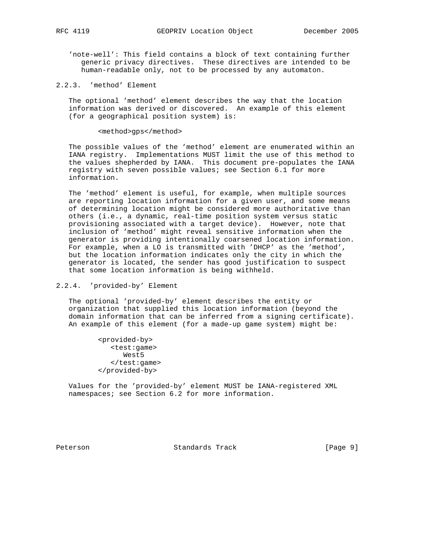- 'note-well': This field contains a block of text containing further generic privacy directives. These directives are intended to be human-readable only, not to be processed by any automaton.
- 2.2.3. 'method' Element

 The optional 'method' element describes the way that the location information was derived or discovered. An example of this element (for a geographical position system) is:

#### <method>gps</method>

 The possible values of the 'method' element are enumerated within an IANA registry. Implementations MUST limit the use of this method to the values shepherded by IANA. This document pre-populates the IANA registry with seven possible values; see Section 6.1 for more information.

 The 'method' element is useful, for example, when multiple sources are reporting location information for a given user, and some means of determining location might be considered more authoritative than others (i.e., a dynamic, real-time position system versus static provisioning associated with a target device). However, note that inclusion of 'method' might reveal sensitive information when the generator is providing intentionally coarsened location information. For example, when a LO is transmitted with 'DHCP' as the 'method', but the location information indicates only the city in which the generator is located, the sender has good justification to suspect that some location information is being withheld.

## 2.2.4. 'provided-by' Element

 The optional 'provided-by' element describes the entity or organization that supplied this location information (beyond the domain information that can be inferred from a signing certificate). An example of this element (for a made-up game system) might be:

> <provided-by> <test:game> West5 </test:game> </provided-by>

 Values for the 'provided-by' element MUST be IANA-registered XML namespaces; see Section 6.2 for more information.

Peterson Standards Track [Page 9]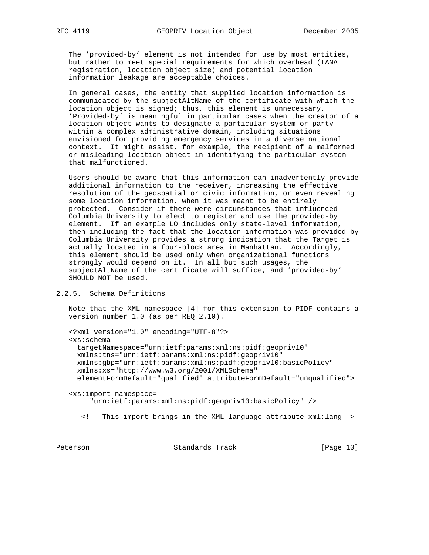The 'provided-by' element is not intended for use by most entities, but rather to meet special requirements for which overhead (IANA registration, location object size) and potential location information leakage are acceptable choices.

 In general cases, the entity that supplied location information is communicated by the subjectAltName of the certificate with which the location object is signed; thus, this element is unnecessary. 'Provided-by' is meaningful in particular cases when the creator of a location object wants to designate a particular system or party within a complex administrative domain, including situations envisioned for providing emergency services in a diverse national context. It might assist, for example, the recipient of a malformed or misleading location object in identifying the particular system that malfunctioned.

 Users should be aware that this information can inadvertently provide additional information to the receiver, increasing the effective resolution of the geospatial or civic information, or even revealing some location information, when it was meant to be entirely protected. Consider if there were circumstances that influenced Columbia University to elect to register and use the provided-by element. If an example LO includes only state-level information, then including the fact that the location information was provided by Columbia University provides a strong indication that the Target is actually located in a four-block area in Manhattan. Accordingly, this element should be used only when organizational functions strongly would depend on it. In all but such usages, the subjectAltName of the certificate will suffice, and 'provided-by' SHOULD NOT be used.

## 2.2.5. Schema Definitions

 Note that the XML namespace [4] for this extension to PIDF contains a version number 1.0 (as per REQ 2.10).

```
 <?xml version="1.0" encoding="UTF-8"?>
 <xs:schema
  targetNamespace="urn:ietf:params:xml:ns:pidf:geopriv10"
  xmlns:tns="urn:ietf:params:xml:ns:pidf:geopriv10"
  xmlns:gbp="urn:ietf:params:xml:ns:pidf:geopriv10:basicPolicy"
  xmlns:xs="http://www.w3.org/2001/XMLSchema"
  elementFormDefault="qualified" attributeFormDefault="unqualified">
```
 <xs:import namespace= "urn:ietf:params:xml:ns:pidf:geopriv10:basicPolicy" />

<!-- This import brings in the XML language attribute xml:lang-->

Peterson Standards Track [Page 10]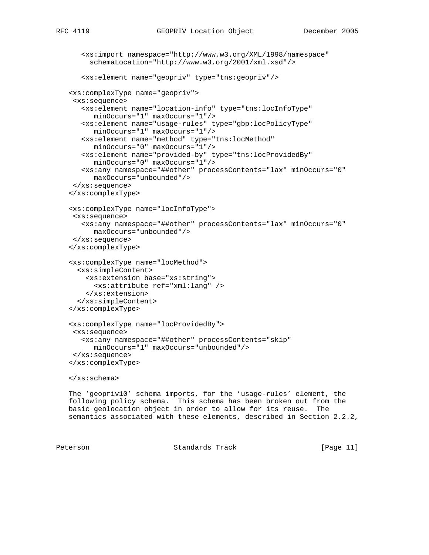```
 <xs:import namespace="http://www.w3.org/XML/1998/namespace"
      schemaLocation="http://www.w3.org/2001/xml.xsd"/>
    <xs:element name="geopriv" type="tns:geopriv"/>
 <xs:complexType name="geopriv">
  <xs:sequence>
    <xs:element name="location-info" type="tns:locInfoType"
       minOccurs="1" maxOccurs="1"/>
    <xs:element name="usage-rules" type="gbp:locPolicyType"
       minOccurs="1" maxOccurs="1"/>
    <xs:element name="method" type="tns:locMethod"
       minOccurs="0" maxOccurs="1"/>
    <xs:element name="provided-by" type="tns:locProvidedBy"
       minOccurs="0" maxOccurs="1"/>
    <xs:any namespace="##other" processContents="lax" minOccurs="0"
      maxOccurs="unbounded"/>
  </xs:sequence>
 </xs:complexType>
 <xs:complexType name="locInfoType">
  <xs:sequence>
    <xs:any namespace="##other" processContents="lax" minOccurs="0"
       maxOccurs="unbounded"/>
  </xs:sequence>
 </xs:complexType>
 <xs:complexType name="locMethod">
   <xs:simpleContent>
     <xs:extension base="xs:string">
       <xs:attribute ref="xml:lang" />
     </xs:extension>
   </xs:simpleContent>
 </xs:complexType>
 <xs:complexType name="locProvidedBy">
  <xs:sequence>
    <xs:any namespace="##other" processContents="skip"
       minOccurs="1" maxOccurs="unbounded"/>
  </xs:sequence>
 </xs:complexType>
 </xs:schema>
 The 'geopriv10' schema imports, for the 'usage-rules' element, the
 following policy schema. This schema has been broken out from the
```
 basic geolocation object in order to allow for its reuse. The semantics associated with these elements, described in Section 2.2.2,

Peterson **Standards Track** [Page 11]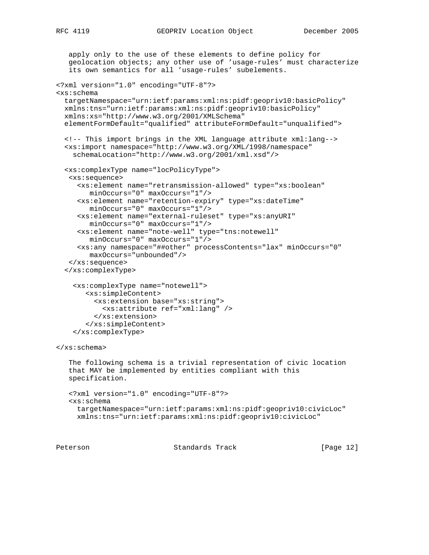```
 apply only to the use of these elements to define policy for
    geolocation objects; any other use of 'usage-rules' must characterize
    its own semantics for all 'usage-rules' subelements.
<?xml version="1.0" encoding="UTF-8"?>
<xs:schema
   targetNamespace="urn:ietf:params:xml:ns:pidf:geopriv10:basicPolicy"
  xmlns:tns="urn:ietf:params:xml:ns:pidf:geopriv10:basicPolicy"
   xmlns:xs="http://www.w3.org/2001/XMLSchema"
   elementFormDefault="qualified" attributeFormDefault="unqualified">
   <!-- This import brings in the XML language attribute xml:lang-->
   <xs:import namespace="http://www.w3.org/XML/1998/namespace"
     schemaLocation="http://www.w3.org/2001/xml.xsd"/>
   <xs:complexType name="locPolicyType">
    <xs:sequence>
      <xs:element name="retransmission-allowed" type="xs:boolean"
         minOccurs="0" maxOccurs="1"/>
      <xs:element name="retention-expiry" type="xs:dateTime"
         minOccurs="0" maxOccurs="1"/>
      <xs:element name="external-ruleset" type="xs:anyURI"
         minOccurs="0" maxOccurs="1"/>
      <xs:element name="note-well" type="tns:notewell"
         minOccurs="0" maxOccurs="1"/>
      <xs:any namespace="##other" processContents="lax" minOccurs="0"
         maxOccurs="unbounded"/>
    </xs:sequence>
   </xs:complexType>
     <xs:complexType name="notewell">
        <xs:simpleContent>
          <xs:extension base="xs:string">
            <xs:attribute ref="xml:lang" />
          </xs:extension>
        </xs:simpleContent>
     </xs:complexType>
</xs:schema>
    The following schema is a trivial representation of civic location
    that MAY be implemented by entities compliant with this
    specification.
    <?xml version="1.0" encoding="UTF-8"?>
    <xs:schema
      targetNamespace="urn:ietf:params:xml:ns:pidf:geopriv10:civicLoc"
     xmlns:tns="urn:ietf:params:xml:ns:pidf:geopriv10:civicLoc"
```
Peterson **Standards Track** [Page 12]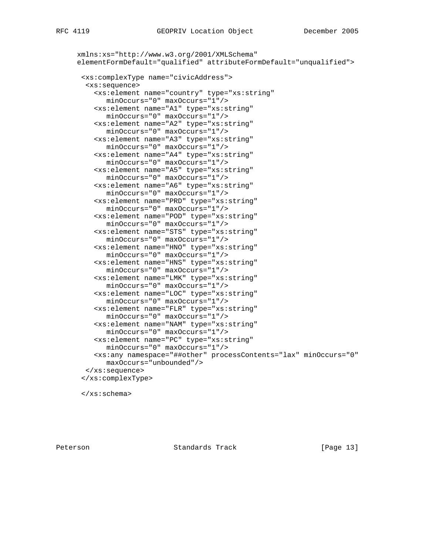## Peterson **Standards Track** [Page 13]

</xs:schema>

```
 xmlns:xs="http://www.w3.org/2001/XMLSchema"
 elementFormDefault="qualified" attributeFormDefault="unqualified">
  <xs:complexType name="civicAddress">
   <xs:sequence>
     <xs:element name="country" type="xs:string"
        minOccurs="0" maxOccurs="1"/>
     <xs:element name="A1" type="xs:string"
       minOccurs="0" maxOccurs="1"/>
     <xs:element name="A2" type="xs:string"
       minOccurs="0" maxOccurs="1"/>
     <xs:element name="A3" type="xs:string"
       minOccurs="0" maxOccurs="1"/>
     <xs:element name="A4" type="xs:string"
       minOccurs="0" maxOccurs="1"/>
     <xs:element name="A5" type="xs:string"
       minOccurs="0" maxOccurs="1"/>
     <xs:element name="A6" type="xs:string"
       minOccurs="0" maxOccurs="1"/>
     <xs:element name="PRD" type="xs:string"
       minOccurs="0" maxOccurs="1"/>
     <xs:element name="POD" type="xs:string"
       minOccurs="0" maxOccurs="1"/>
     <xs:element name="STS" type="xs:string"
       minOccurs="0" maxOccurs="1"/>
     <xs:element name="HNO" type="xs:string"
        minOccurs="0" maxOccurs="1"/>
     <xs:element name="HNS" type="xs:string"
        minOccurs="0" maxOccurs="1"/>
     <xs:element name="LMK" type="xs:string"
       minOccurs="0" maxOccurs="1"/>
     <xs:element name="LOC" type="xs:string"
       minOccurs="0" maxOccurs="1"/>
     <xs:element name="FLR" type="xs:string"
       minOccurs="0" maxOccurs="1"/>
     <xs:element name="NAM" type="xs:string"
       minOccurs="0" maxOccurs="1"/>
     <xs:element name="PC" type="xs:string"
       minOccurs="0" maxOccurs="1"/>
     <xs:any namespace="##other" processContents="lax" minOccurs="0"
       maxOccurs="unbounded"/>
   </xs:sequence>
  </xs:complexType>
```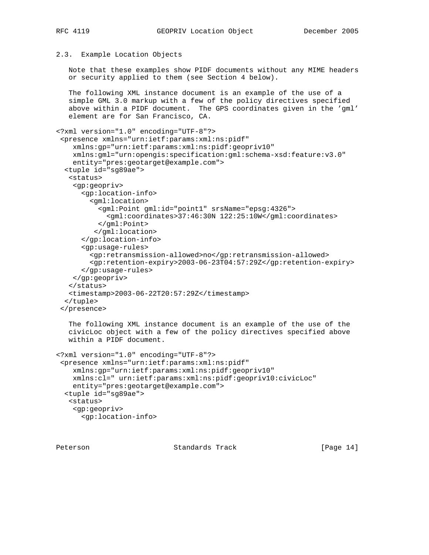## 2.3. Example Location Objects

 Note that these examples show PIDF documents without any MIME headers or security applied to them (see Section 4 below).

 The following XML instance document is an example of the use of a simple GML 3.0 markup with a few of the policy directives specified above within a PIDF document. The GPS coordinates given in the 'gml' element are for San Francisco, CA.

```
<?xml version="1.0" encoding="UTF-8"?>
  <presence xmlns="urn:ietf:params:xml:ns:pidf"
    xmlns:gp="urn:ietf:params:xml:ns:pidf:geopriv10"
    xmlns:gml="urn:opengis:specification:gml:schema-xsd:feature:v3.0"
    entity="pres:geotarget@example.com">
  <tuple id="sg89ae">
    <status>
    <gp:geopriv>
       <gp:location-info>
         <gml:location>
           <gml:Point gml:id="point1" srsName="epsg:4326">
             <gml:coordinates>37:46:30N 122:25:10W</gml:coordinates>
           </gml:Point>
          </gml:location>
       </gp:location-info>
       <gp:usage-rules>
         <gp:retransmission-allowed>no</gp:retransmission-allowed>
         <gp:retention-expiry>2003-06-23T04:57:29Z</gp:retention-expiry>
       </gp:usage-rules>
    </gp:geopriv>
    </status>
    <timestamp>2003-06-22T20:57:29Z</timestamp>
  </tuple>
 </presence>
    The following XML instance document is an example of the use of the
```
 civicLoc object with a few of the policy directives specified above within a PIDF document.

```
<?xml version="1.0" encoding="UTF-8"?>
  <presence xmlns="urn:ietf:params:xml:ns:pidf"
    xmlns:gp="urn:ietf:params:xml:ns:pidf:geopriv10"
    xmlns:cl=" urn:ietf:params:xml:ns:pidf:geopriv10:civicLoc"
    entity="pres:geotarget@example.com">
   <tuple id="sg89ae">
    <status>
     <gp:geopriv>
       <gp:location-info>
```
Peterson Standards Track [Page 14]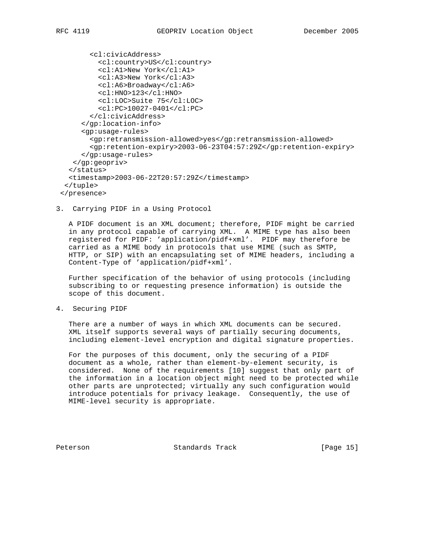```
 <cl:civicAddress>
          <cl:country>US</cl:country>
          <cl:A1>New York</cl:A1>
          <cl:A3>New York</cl:A3>
          <cl:A6>Broadway</cl:A6>
          <cl:HNO>123</cl:HNO>
          <cl:LOC>Suite 75</cl:LOC>
          <cl:PC>10027-0401</cl:PC>
        </cl:civicAddress>
      </gp:location-info>
      <gp:usage-rules>
        <gp:retransmission-allowed>yes</gp:retransmission-allowed>
        <gp:retention-expiry>2003-06-23T04:57:29Z</gp:retention-expiry>
      </gp:usage-rules>
   </gp:geopriv>
  </status>
  <timestamp>2003-06-22T20:57:29Z</timestamp>
  </tuple>
 </presence>
```
3. Carrying PIDF in a Using Protocol

 A PIDF document is an XML document; therefore, PIDF might be carried in any protocol capable of carrying XML. A MIME type has also been registered for PIDF: 'application/pidf+xml'. PIDF may therefore be carried as a MIME body in protocols that use MIME (such as SMTP, HTTP, or SIP) with an encapsulating set of MIME headers, including a Content-Type of 'application/pidf+xml'.

 Further specification of the behavior of using protocols (including subscribing to or requesting presence information) is outside the scope of this document.

4. Securing PIDF

 There are a number of ways in which XML documents can be secured. XML itself supports several ways of partially securing documents, including element-level encryption and digital signature properties.

 For the purposes of this document, only the securing of a PIDF document as a whole, rather than element-by-element security, is considered. None of the requirements [10] suggest that only part of the information in a location object might need to be protected while other parts are unprotected; virtually any such configuration would introduce potentials for privacy leakage. Consequently, the use of MIME-level security is appropriate.

Peterson Standards Track [Page 15]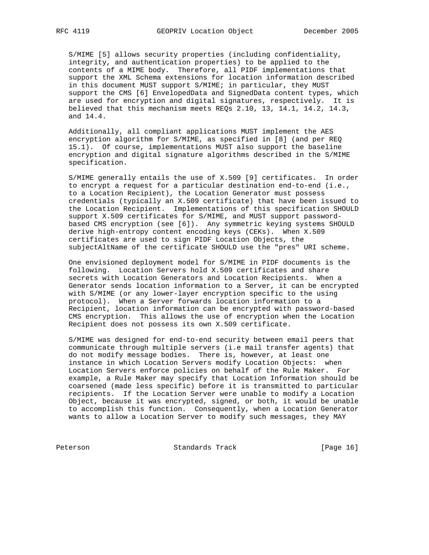S/MIME [5] allows security properties (including confidentiality, integrity, and authentication properties) to be applied to the contents of a MIME body. Therefore, all PIDF implementations that support the XML Schema extensions for location information described in this document MUST support S/MIME; in particular, they MUST support the CMS [6] EnvelopedData and SignedData content types, which are used for encryption and digital signatures, respectively. It is believed that this mechanism meets REQs 2.10, 13, 14.1, 14.2, 14.3, and 14.4.

 Additionally, all compliant applications MUST implement the AES encryption algorithm for S/MIME, as specified in [8] (and per REQ 15.1). Of course, implementations MUST also support the baseline encryption and digital signature algorithms described in the S/MIME specification.

 S/MIME generally entails the use of X.509 [9] certificates. In order to encrypt a request for a particular destination end-to-end (i.e., to a Location Recipient), the Location Generator must possess credentials (typically an X.509 certificate) that have been issued to the Location Recipient. Implementations of this specification SHOULD support X.509 certificates for S/MIME, and MUST support password based CMS encryption (see [6]). Any symmetric keying systems SHOULD derive high-entropy content encoding keys (CEKs). When X.509 certificates are used to sign PIDF Location Objects, the subjectAltName of the certificate SHOULD use the "pres" URI scheme.

 One envisioned deployment model for S/MIME in PIDF documents is the following. Location Servers hold X.509 certificates and share secrets with Location Generators and Location Recipients. When a Generator sends location information to a Server, it can be encrypted with S/MIME (or any lower-layer encryption specific to the using protocol). When a Server forwards location information to a Recipient, location information can be encrypted with password-based CMS encryption. This allows the use of encryption when the Location Recipient does not possess its own X.509 certificate.

 S/MIME was designed for end-to-end security between email peers that communicate through multiple servers (i.e mail transfer agents) that do not modify message bodies. There is, however, at least one instance in which Location Servers modify Location Objects: when Location Servers enforce policies on behalf of the Rule Maker. For example, a Rule Maker may specify that Location Information should be coarsened (made less specific) before it is transmitted to particular recipients. If the Location Server were unable to modify a Location Object, because it was encrypted, signed, or both, it would be unable to accomplish this function. Consequently, when a Location Generator wants to allow a Location Server to modify such messages, they MAY

Peterson Standards Track [Page 16]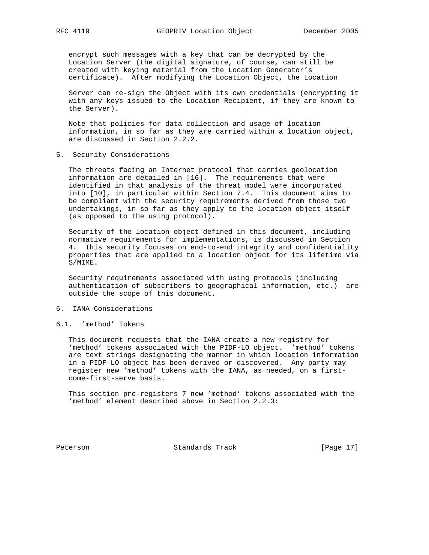encrypt such messages with a key that can be decrypted by the Location Server (the digital signature, of course, can still be created with keying material from the Location Generator's certificate). After modifying the Location Object, the Location

 Server can re-sign the Object with its own credentials (encrypting it with any keys issued to the Location Recipient, if they are known to the Server).

 Note that policies for data collection and usage of location information, in so far as they are carried within a location object, are discussed in Section 2.2.2.

5. Security Considerations

 The threats facing an Internet protocol that carries geolocation information are detailed in [16]. The requirements that were identified in that analysis of the threat model were incorporated into [10], in particular within Section 7.4. This document aims to be compliant with the security requirements derived from those two undertakings, in so far as they apply to the location object itself (as opposed to the using protocol).

 Security of the location object defined in this document, including normative requirements for implementations, is discussed in Section 4. This security focuses on end-to-end integrity and confidentiality properties that are applied to a location object for its lifetime via S/MIME.

 Security requirements associated with using protocols (including authentication of subscribers to geographical information, etc.) are outside the scope of this document.

## 6. IANA Considerations

#### 6.1. 'method' Tokens

 This document requests that the IANA create a new registry for 'method' tokens associated with the PIDF-LO object. 'method' tokens are text strings designating the manner in which location information in a PIDF-LO object has been derived or discovered. Any party may register new 'method' tokens with the IANA, as needed, on a first come-first-serve basis.

 This section pre-registers 7 new 'method' tokens associated with the 'method' element described above in Section 2.2.3:

Peterson Standards Track [Page 17]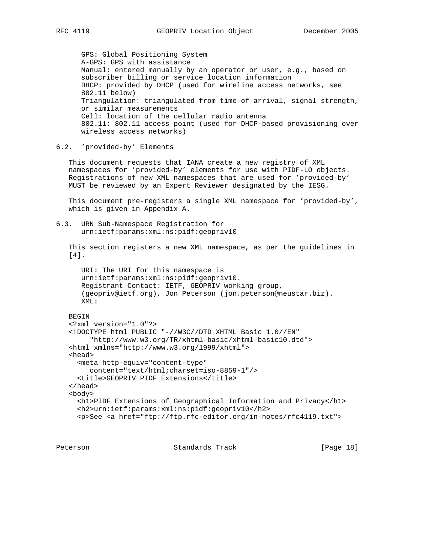GPS: Global Positioning System A-GPS: GPS with assistance Manual: entered manually by an operator or user, e.g., based on subscriber billing or service location information DHCP: provided by DHCP (used for wireline access networks, see 802.11 below) Triangulation: triangulated from time-of-arrival, signal strength, or similar measurements Cell: location of the cellular radio antenna 802.11: 802.11 access point (used for DHCP-based provisioning over wireless access networks)

6.2. 'provided-by' Elements

 This document requests that IANA create a new registry of XML namespaces for 'provided-by' elements for use with PIDF-LO objects. Registrations of new XML namespaces that are used for 'provided-by' MUST be reviewed by an Expert Reviewer designated by the IESG.

 This document pre-registers a single XML namespace for 'provided-by', which is given in Appendix A.

6.3. URN Sub-Namespace Registration for urn:ietf:params:xml:ns:pidf:geopriv10

 This section registers a new XML namespace, as per the guidelines in [4].

 URI: The URI for this namespace is urn:ietf:params:xml:ns:pidf:geopriv10. Registrant Contact: IETF, GEOPRIV working group, (geopriv@ietf.org), Jon Peterson (jon.peterson@neustar.biz). XML:

BEGIN

```
 <?xml version="1.0"?>
 <!DOCTYPE html PUBLIC "-//W3C//DTD XHTML Basic 1.0//EN"
      "http://www.w3.org/TR/xhtml-basic/xhtml-basic10.dtd">
 <html xmlns="http://www.w3.org/1999/xhtml">
 <head>
  <meta http-equiv="content-type"
     content="text/html;charset=iso-8859-1"/>
  <title>GEOPRIV PIDF Extensions</title>
 </head>
 <body>
   <h1>PIDF Extensions of Geographical Information and Privacy</h1>
   <h2>urn:ietf:params:xml:ns:pidf:geopriv10</h2>
   <p>See <a href="ftp://ftp.rfc-editor.org/in-notes/rfc4119.txt">
```
Peterson Standards Track [Page 18]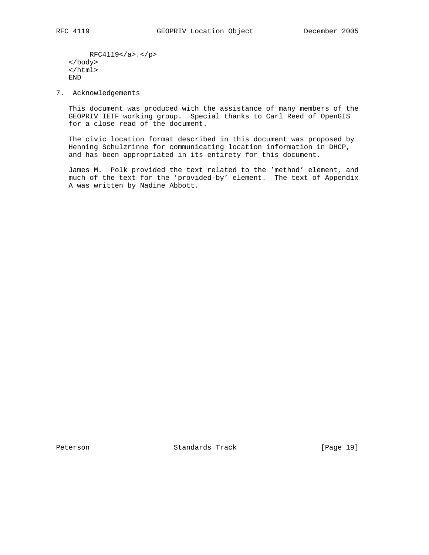RFC4119</a>.</p> </body> </html> END

7. Acknowledgements

 This document was produced with the assistance of many members of the GEOPRIV IETF working group. Special thanks to Carl Reed of OpenGIS for a close read of the document.

 The civic location format described in this document was proposed by Henning Schulzrinne for communicating location information in DHCP, and has been appropriated in its entirety for this document.

 James M. Polk provided the text related to the 'method' element, and much of the text for the 'provided-by' element. The text of Appendix A was written by Nadine Abbott.

Peterson Standards Track [Page 19]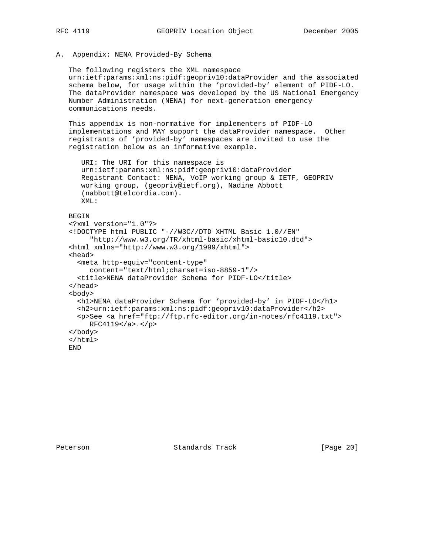## A. Appendix: NENA Provided-By Schema

 The following registers the XML namespace urn:ietf:params:xml:ns:pidf:geopriv10:dataProvider and the associated schema below, for usage within the 'provided-by' element of PIDF-LO. The dataProvider namespace was developed by the US National Emergency Number Administration (NENA) for next-generation emergency communications needs.

 This appendix is non-normative for implementers of PIDF-LO implementations and MAY support the dataProvider namespace. Other registrants of 'provided-by' namespaces are invited to use the registration below as an informative example.

```
 URI: The URI for this namespace is
 urn:ietf:params:xml:ns:pidf:geopriv10:dataProvider
 Registrant Contact: NENA, VoIP working group & IETF, GEOPRIV
 working group, (geopriv@ietf.org), Nadine Abbott
 (nabbott@telcordia.com).
 XML:
```
## BEGIN

```
 <?xml version="1.0"?>
 <!DOCTYPE html PUBLIC "-//W3C//DTD XHTML Basic 1.0//EN"
      "http://www.w3.org/TR/xhtml-basic/xhtml-basic10.dtd">
 <html xmlns="http://www.w3.org/1999/xhtml">
 <head>
   <meta http-equiv="content-type"
     content="text/html;charset=iso-8859-1"/>
   <title>NENA dataProvider Schema for PIDF-LO</title>
 </head>
 <body>
   <h1>NENA dataProvider Schema for 'provided-by' in PIDF-LO</h1>
   <h2>urn:ietf:params:xml:ns:pidf:geopriv10:dataProvider</h2>
   <p>See <a href="ftp://ftp.rfc-editor.org/in-notes/rfc4119.txt">
     RFC4119</a>.</p>
 </body>
 </html>
 END
```
Peterson Standards Track [Page 20]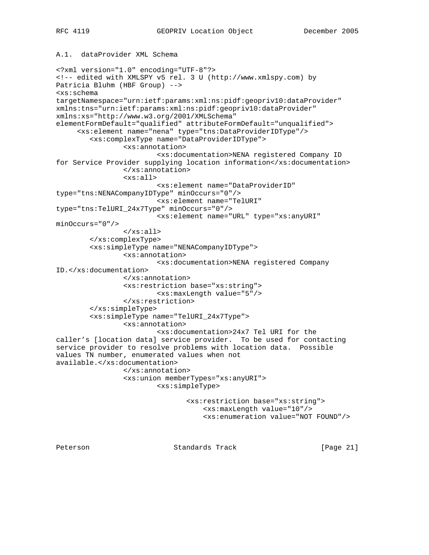# A.1. dataProvider XML Schema

<?xml version="1.0" encoding="UTF-8"?> <!-- edited with XMLSPY v5 rel. 3 U (http://www.xmlspy.com) by Patricia Bluhm (HBF Group) --> <xs:schema targetNamespace="urn:ietf:params:xml:ns:pidf:geopriv10:dataProvider" xmlns:tns="urn:ietf:params:xml:ns:pidf:geopriv10:dataProvider" xmlns:xs="http://www.w3.org/2001/XMLSchema" elementFormDefault="qualified" attributeFormDefault="unqualified"> <xs:element name="nena" type="tns:DataProviderIDType"/> <xs:complexType name="DataProviderIDType"> <xs:annotation> <xs:documentation>NENA registered Company ID for Service Provider supplying location information</xs:documentation> </xs:annotation> <xs:all> <xs:element name="DataProviderID" type="tns:NENACompanyIDType" minOccurs="0"/> <xs:element name="TelURI" type="tns:TelURI\_24x7Type" minOccurs="0"/> <xs:element name="URL" type="xs:anyURI" minOccurs="0"/> </xs:all> </xs:complexType> <xs:simpleType name="NENACompanyIDType"> <xs:annotation> <xs:documentation>NENA registered Company ID.</xs:documentation> </xs:annotation> <xs:restriction base="xs:string"> <xs:maxLength value="5"/> </xs:restriction> </xs:simpleType> <xs:simpleType name="TelURI\_24x7Type"> <xs:annotation> <xs:documentation>24x7 Tel URI for the caller's [location data] service provider. To be used for contacting service provider to resolve problems with location data. Possible values TN number, enumerated values when not available.</xs:documentation> </xs:annotation> <xs:union memberTypes="xs:anyURI"> <xs:simpleType> <xs:restriction base="xs:string"> <xs:maxLength value="10"/> <xs:enumeration value="NOT FOUND"/>

Peterson **Standards Track** [Page 21]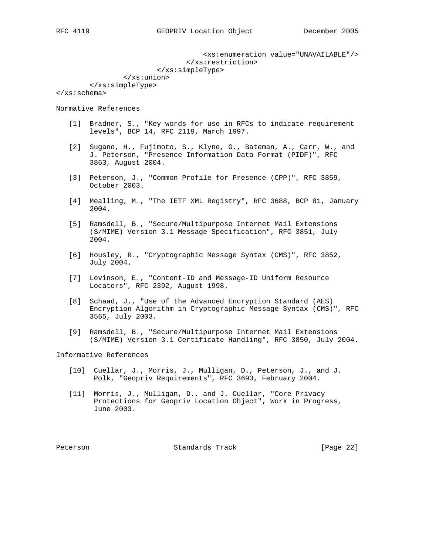<xs:enumeration value="UNAVAILABLE"/> </xs:restriction> </xs:simpleType>

 </xs:union> </xs:simpleType>

</xs:schema>

Normative References

- [1] Bradner, S., "Key words for use in RFCs to indicate requirement levels", BCP 14, RFC 2119, March 1997.
- [2] Sugano, H., Fujimoto, S., Klyne, G., Bateman, A., Carr, W., and J. Peterson, "Presence Information Data Format (PIDF)", RFC 3863, August 2004.
- [3] Peterson, J., "Common Profile for Presence (CPP)", RFC 3859, October 2003.
- [4] Mealling, M., "The IETF XML Registry", RFC 3688, BCP 81, January 2004.
- [5] Ramsdell, B., "Secure/Multipurpose Internet Mail Extensions (S/MIME) Version 3.1 Message Specification", RFC 3851, July 2004.
- [6] Housley, R., "Cryptographic Message Syntax (CMS)", RFC 3852, July 2004.
- [7] Levinson, E., "Content-ID and Message-ID Uniform Resource Locators", RFC 2392, August 1998.
- [8] Schaad, J., "Use of the Advanced Encryption Standard (AES) Encryption Algorithm in Cryptographic Message Syntax (CMS)", RFC 3565, July 2003.
- [9] Ramsdell, B., "Secure/Multipurpose Internet Mail Extensions (S/MIME) Version 3.1 Certificate Handling", RFC 3850, July 2004.

Informative References

- [10] Cuellar, J., Morris, J., Mulligan, D., Peterson, J., and J. Polk, "Geopriv Requirements", RFC 3693, February 2004.
- [11] Morris, J., Mulligan, D., and J. Cuellar, "Core Privacy Protections for Geopriv Location Object", Work in Progress, June 2003.

Peterson Standards Track [Page 22]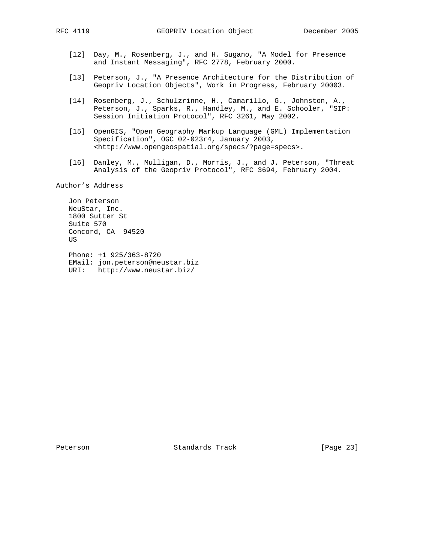- [12] Day, M., Rosenberg, J., and H. Sugano, "A Model for Presence and Instant Messaging", RFC 2778, February 2000.
- [13] Peterson, J., "A Presence Architecture for the Distribution of Geopriv Location Objects", Work in Progress, February 20003.
- [14] Rosenberg, J., Schulzrinne, H., Camarillo, G., Johnston, A., Peterson, J., Sparks, R., Handley, M., and E. Schooler, "SIP: Session Initiation Protocol", RFC 3261, May 2002.
- [15] OpenGIS, "Open Geography Markup Language (GML) Implementation Specification", OGC 02-023r4, January 2003, <http://www.opengeospatial.org/specs/?page=specs>.
- [16] Danley, M., Mulligan, D., Morris, J., and J. Peterson, "Threat Analysis of the Geopriv Protocol", RFC 3694, February 2004.

Author's Address

 Jon Peterson NeuStar, Inc. 1800 Sutter St Suite 570 Concord, CA 94520 US

 Phone: +1 925/363-8720 EMail: jon.peterson@neustar.biz URI: http://www.neustar.biz/

Peterson Standards Track [Page 23]